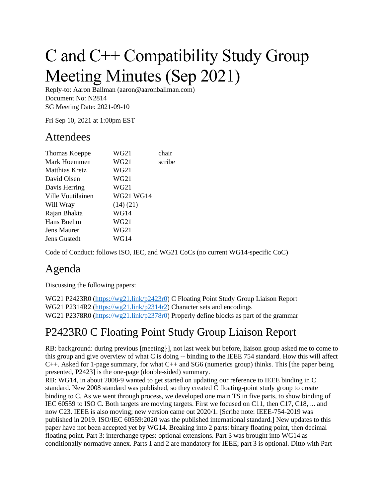# C and C++ Compatibility Study Group Meeting Minutes (Sep 2021)

Reply-to: Aaron Ballman (aaron@aaronballman.com) Document No: N2814 SG Meeting Date: 2021-09-10

Fri Sep 10, 2021 at 1:00pm EST

#### Attendees

| Thomas Koeppe     | WG21      | chair  |
|-------------------|-----------|--------|
| Mark Hoemmen      | WG21      | scribe |
| Matthias Kretz    | WG21      |        |
| David Olsen       | WG21      |        |
| Davis Herring     | WG21      |        |
| Ville Voutilainen | WG21 WG14 |        |
| Will Wray         | (14)(21)  |        |
| Rajan Bhakta      | WG14      |        |
| Hans Boehm        | WG21      |        |
| Jens Maurer       | WG21      |        |
| Jens Gustedt      | WG14      |        |

Code of Conduct: follows ISO, IEC, and WG21 CoCs (no current WG14-specific CoC)

## Agenda

Discussing the following papers:

WG21 P2423R0 [\(https://wg21.link/p2423r0\)](https://wg21.link/p2423r0) C Floating Point Study Group Liaison Report WG21 P2314R2 [\(https://wg21.link/p2314r2\)](https://wg21.link/p2314r2) Character sets and encodings WG21 P2378R0 [\(https://wg21.link/p2378r0\)](https://wg21.link/p2378r0) Properly define blocks as part of the grammar

## P2423R0 C Floating Point Study Group Liaison Report

RB: background: during previous [meeting}], not last week but before, liaison group asked me to come to this group and give overview of what C is doing -- binding to the IEEE 754 standard. How this will affect C++. Asked for 1-page summary, for what C++ and SG6 (numerics group) thinks. This [the paper being presented, P2423] is the one-page (double-sided) summary.

RB: WG14, in about 2008-9 wanted to get started on updating our reference to IEEE binding in C standard. New 2008 standard was published, so they created C floating-point study group to create binding to C. As we went through process, we developed one main TS in five parts, to show binding of IEC 60559 to ISO C. Both targets are moving targets. First we focused on C11, then C17, C18, ... and now C23. IEEE is also moving; new version came out 2020/1. [Scribe note: IEEE-754-2019 was published in 2019. ISO/IEC 60559:2020 was the published international standard.] New updates to this paper have not been accepted yet by WG14. Breaking into 2 parts: binary floating point, then decimal floating point. Part 3: interchange types: optional extensions. Part 3 was brought into WG14 as conditionally normative annex. Parts 1 and 2 are mandatory for IEEE; part 3 is optional. Ditto with Part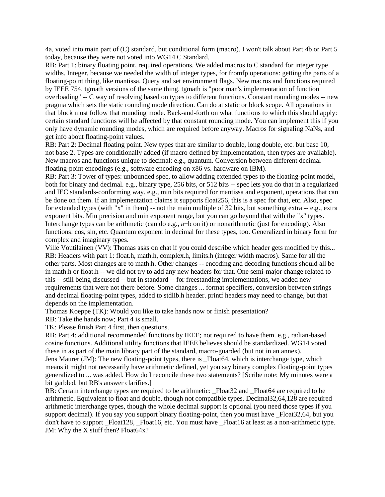4a, voted into main part of (C) standard, but conditional form (macro). I won't talk about Part 4b or Part 5 today, because they were not voted into WG14 C Standard.

RB: Part 1: binary floating point, required operations. We added macros to C standard for integer type widths. Integer, because we needed the width of integer types, for fromfp operations: getting the parts of a floating-point thing, like mantissa. Query and set environment flags. New macros and functions required by IEEE 754. tgmath versions of the same thing. tgmath is "poor man's implementation of function overloading" -- C way of resolving based on types to different functions. Constant rounding modes -- new pragma which sets the static rounding mode direction. Can do at static or block scope. All operations in that block must follow that rounding mode. Back-and-forth on what functions to which this should apply: certain standard functions will be affected by that constant rounding mode. You can implement this if you only have dynamic rounding modes, which are required before anyway. Macros for signaling NaNs, and get info about floating-point values.

RB: Part 2: Decimal floating point. New types that are similar to double, long double, etc. but base 10, not base 2. Types are conditionally added (if macro defined by implementation, then types are available). New macros and functions unique to decimal: e.g., quantum. Conversion between different decimal floating-point encodings (e.g., software encoding on x86 vs. hardware on IBM).

RB: Part 3: Tower of types: unbounded spec, to allow adding extended types to the floating-point model, both for binary and decimal. e.g., binary type, 256 bits, or 512 bits -- spec lets you do that in a regularized and IEC standards-conforming way. e.g., min bits required for mantissa and exponent, operations that can be done on them. If an implementation claims it supports float256, this is a spec for that, etc. Also, spec for extended types (with "x" in them) -- not the main multiple of 32 bits, but something extra -- e.g., extra exponent bits. Min precision and min exponent range, but you can go beyond that with the "x" types. Interchange types can be arithmetic (can do e.g., a+b on it) or nonarithmetic (just for encoding). Also functions: cos, sin, etc. Quantum exponent in decimal for these types, too. Generalized in binary form for complex and imaginary types.

Ville Voutilainen (VV): Thomas asks on chat if you could describe which header gets modified by this... RB: Headers with part 1: float.h, math.h, complex.h, limits.h (integer width macros). Same for all the other parts. Most changes are to math.h. Other changes -- encoding and decoding functions should all be in math.h or float.h -- we did not try to add any new headers for that. One semi-major change related to this -- still being discussed -- but in standard -- for freestanding implementations, we added new requirements that were not there before. Some changes ... format specifiers, conversion between strings and decimal floating-point types, added to stdlib.h header. printf headers may need to change, but that depends on the implementation.

Thomas Koeppe (TK): Would you like to take hands now or finish presentation?

RB: Take the hands now; Part 4 is small.

TK: Please finish Part 4 first, then questions.

RB: Part 4: additional recommended functions by IEEE; not required to have them. e.g., radian-based cosine functions. Additional utility functions that IEEE believes should be standardized. WG14 voted these in as part of the main library part of the standard, macro-guarded (but not in an annex).

Jens Maurer (JM): The new floating-point types, there is \_Float64, which is interchange type, which means it might not necessarily have arithmetic defined, yet you say binary complex floating-point types generalized to ... was added. How do I reconcile these two statements? [Scribe note: My minutes were a bit garbled, but RB's answer clarifies.]

RB: Certain interchange types are required to be arithmetic: \_Float32 and \_Float64 are required to be arithmetic. Equivalent to float and double, though not compatible types. Decimal32,64,128 are required arithmetic interchange types, though the whole decimal support is optional (you need those types if you support decimal). If you say you support binary floating-point, then you must have \_Float32,64, but you don't have to support Float128, Float16, etc. You must have Float16 at least as a non-arithmetic type. JM: Why the X stuff then? Float64x?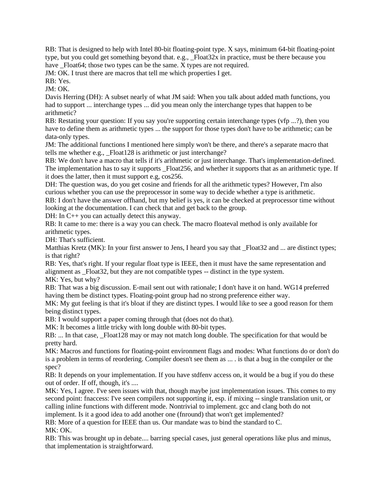RB: That is designed to help with Intel 80-bit floating-point type. X says, minimum 64-bit floating-point type, but you could get something beyond that. e.g., \_Float32x in practice, must be there because you have \_Float64; those two types can be the same. X types are not required.

JM: OK. I trust there are macros that tell me which properties I get.

RB: Yes.

JM: OK.

Davis Herring (DH): A subset nearly of what JM said: When you talk about added math functions, you had to support ... interchange types ... did you mean only the interchange types that happen to be arithmetic?

RB: Restating your question: If you say you're supporting certain interchange types (vfp ...?), then you have to define them as arithmetic types ... the support for those types don't have to be arithmetic; can be data-only types.

JM: The additional functions I mentioned here simply won't be there, and there's a separate macro that tells me whether e.g., Float128 is arithmetic or just interchange?

RB: We don't have a macro that tells if it's arithmetic or just interchange. That's implementation-defined. The implementation has to say it supports \_Float256, and whether it supports that as an arithmetic type. If it does the latter, then it must support e.g, cos256.

DH: The question was, do you get cosine and friends for all the arithmetic types? However, I'm also curious whether you can use the preprocessor in some way to decide whether a type is arithmetic.

RB: I don't have the answer offhand, but my belief is yes, it can be checked at preprocessor time without looking at the documentation. I can check that and get back to the group.

DH: In C++ you can actually detect this anyway.

RB: It came to me: there is a way you can check. The macro floateval method is only available for arithmetic types.

DH: That's sufficient.

Matthias Kretz (MK): In your first answer to Jens, I heard you say that \_Float32 and ... are distinct types; is that right?

RB: Yes, that's right. If your regular float type is IEEE, then it must have the same representation and alignment as \_Float32, but they are not compatible types -- distinct in the type system. MK: Yes, but why?

RB: That was a big discussion. E-mail sent out with rationale; I don't have it on hand. WG14 preferred having them be distinct types. Floating-point group had no strong preference either way.

MK: My gut feeling is that it's bloat if they are distinct types. I would like to see a good reason for them being distinct types.

RB: I would support a paper coming through that (does not do that).

MK: It becomes a little tricky with long double with 80-bit types.

RB: ... In that case, Float 128 may or may not match long double. The specification for that would be pretty hard.

MK: Macros and functions for floating-point environment flags and modes: What functions do or don't do is a problem in terms of reordering. Compiler doesn't see them as ... . is that a bug in the compiler or the spec?

RB: It depends on your implementation. If you have stdfenv access on, it would be a bug if you do these out of order. If off, though, it's ....

MK: Yes, I agree. I've seen issues with that, though maybe just implementation issues. This comes to my second point: fnaccess: I've seen compilers not supporting it, esp. if mixing -- single translation unit, or calling inline functions with different mode. Nontrivial to implement. gcc and clang both do not

implement. Is it a good idea to add another one (fnround) that won't get implemented?

RB: More of a question for IEEE than us. Our mandate was to bind the standard to C. MK: OK.

RB: This was brought up in debate.... barring special cases, just general operations like plus and minus, that implementation is straightforward.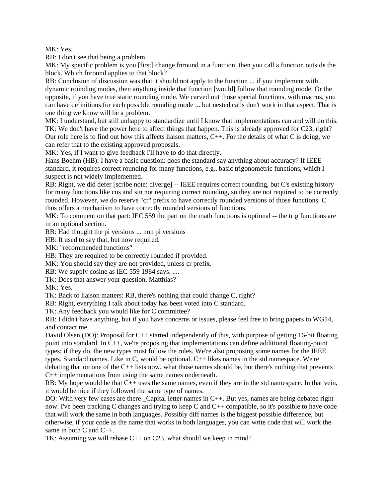MK: Yes.

RB: I don't see that being a problem.

MK: My specific problem is you [first] change fnround in a function, then you call a function outside the block. Which fnround applies to that block?

RB: Conclusion of discussion was that it should not apply to the function ... if you implement with dynamic rounding modes, then anything inside that function [would] follow that rounding mode. Or the opposite, if you have true static rounding mode. We carved out those special functions, with macros, you can have definitions for each possible rounding mode ... but nested calls don't work in that aspect. That is one thing we know will be a problem.

MK: I understand, but still unhappy to standardize until I know that implementations can and will do this. TK: We don't have the power here to affect things that happen. This is already approved for C23, right? Our role here is to find out how this affects liaison matters, C++. For the details of what C is doing, we can refer that to the existing approved proposals.

MK: Yes, if I want to give feedback I'll have to do that directly.

Hans Boehm (HB): I have a basic question: does the standard say anything about accuracy? If IEEE standard, it requires correct rounding for many functions, e.g., basic trigonometric functions, which I suspect is not widely implemented.

RB: Right, we did defer [scribe note: diverge] -- IEEE requires correct rounding, but C's existing history for many functions like cos and sin not requiring correct rounding, so they are not required to be correctly rounded. However, we do reserve "cr" prefix to have correctly rounded versions of those functions. C thus offers a mechanism to have correctly rounded versions of functions.

MK: To comment on that part: IEC 559 the part on the math functions is optional -- the trig functions are in an optional section.

RB: Had thought the pi versions ... non pi versions

HB: It used to say that, but now required.

MK: "recommended functions"

HB: They are required to be correctly rounded if provided.

MK: You should say they are not provided, unless cr prefix.

RB: We supply cosine as IEC 559 1984 says. ....

TK: Does that answer your question, Matthias?

MK: Yes.

TK: Back to liaison matters: RB, there's nothing that could change C, right?

RB: Right, everything I talk about today has been voted into C standard.

TK: Any feedback you would like for C committee?

RB: I didn't have anything, but if you have concerns or issues, please feel free to bring papers to WG14, and contact me.

David Olsen (DO): Proposal for C++ started independently of this, with purpose of getting 16-bit floating point into standard. In C++, we're proposing that implementations can define additional floating-point types; if they do, the new types must follow the rules. We're also proposing some names for the IEEE types. Standard names. Like in C, would be optional. C++ likes names in the std namespace. We're debating that on one of the  $C_{++}$  lists now, what those names should be, but there's nothing that prevents C++ implementations from using the same names underneath.

RB: My hope would be that C++ uses the same names, even if they are in the std namespace. In that vein, it would be nice if they followed the same type of names.

DO: With very few cases are there Capital letter names in  $C_{++}$ . But yes, names are being debated right now. I've been tracking C changes and trying to keep C and C++ compatible, so it's possible to have code that will work the same in both languages. Possibly diff names is the biggest possible difference, but otherwise, if your code as the name that works in both languages, you can write code that will work the same in both C and C++.

TK: Assuming we will rebase C++ on C23, what should we keep in mind?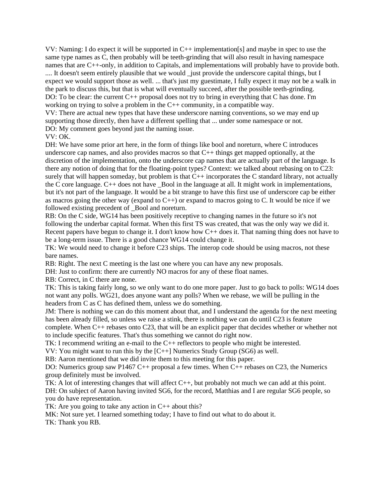VV: Naming: I do expect it will be supported in C++ implementation[s] and maybe in spec to use the same type names as C, then probably will be teeth-grinding that will also result in having namespace names that are C++-only, in addition to Capitals, and implementations will probably have to provide both. .... It doesn't seem entirely plausible that we would just provide the underscore capital things, but I expect we would support those as well. ... that's just my guestimate, I fully expect it may not be a walk in the park to discuss this, but that is what will eventually succeed, after the possible teeth-grinding. DO: To be clear: the current C++ proposal does not try to bring in everything that C has done. I'm working on trying to solve a problem in the C++ community, in a compatible way. VV: There are actual new types that have these underscore naming conventions, so we may end up supporting those directly, then have a different spelling that ... under some namespace or not.

DO: My comment goes beyond just the naming issue.

#### VV: OK.

DH: We have some prior art here, in the form of things like bool and noreturn, where C introduces underscore cap names, and also provides macros so that C++ things get mapped optionally, at the discretion of the implementation, onto the underscore cap names that are actually part of the language. Is there any notion of doing that for the floating-point types? Context: we talked about rebasing on to C23: surely that will happen someday, but problem is that  $C_{++}$  incorporates the C standard library, not actually the C core language.  $C_{++}$  does not have Bool in the language at all. It might work in implementations, but it's not part of the language. It would be a bit strange to have this first use of underscore cap be either as macros going the other way (expand to  $C_{++}$ ) or expand to macros going to C. It would be nice if we followed existing precedent of Bool and noreturn.

RB: On the C side, WG14 has been positively receptive to changing names in the future so it's not following the underbar capital format. When this first TS was created, that was the only way we did it. Recent papers have begun to change it. I don't know how C++ does it. That naming thing does not have to be a long-term issue. There is a good chance WG14 could change it.

TK: We would need to change it before C23 ships. The interop code should be using macros, not these bare names.

RB: Right. The next C meeting is the last one where you can have any new proposals.

DH: Just to confirm: there are currently NO macros for any of these float names.

RB: Correct, in C there are none.

TK: This is taking fairly long, so we only want to do one more paper. Just to go back to polls: WG14 does not want any polls. WG21, does anyone want any polls? When we rebase, we will be pulling in the headers from C as C has defined them, unless we do something.

JM: There is nothing we can do this moment about that, and I understand the agenda for the next meeting has been already filled, so unless we raise a stink, there is nothing we can do until C23 is feature

complete. When C++ rebases onto C23, that will be an explicit paper that decides whether or whether not to include specific features. That's thus something we cannot do right now.

TK: I recommend writing an e-mail to the C++ reflectors to people who might be interested.

VV: You might want to run this by the [C++] Numerics Study Group (SG6) as well.

RB: Aaron mentioned that we did invite them to this meeting for this paper.

DO: Numerics group saw P1467 C++ proposal a few times. When C++ rebases on C23, the Numerics group definitely must be involved.

TK: A lot of interesting changes that will affect C++, but probably not much we can add at this point. DH: On subject of Aaron having invited SG6, for the record, Matthias and I are regular SG6 people, so you do have representation.

TK: Are you going to take any action in  $C_{++}$  about this?

MK: Not sure yet. I learned something today; I have to find out what to do about it.

TK: Thank you RB.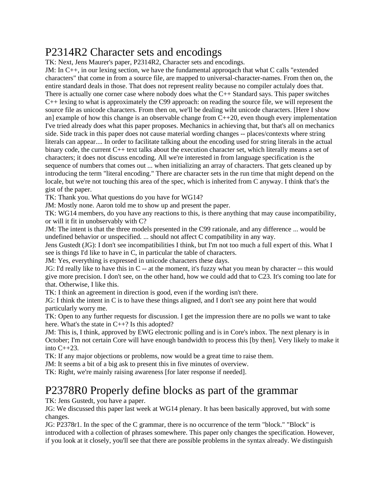#### P2314R2 Character sets and encodings

TK: Next, Jens Maurer's paper, P2314R2, Character sets and encodings.

JM: In C++, in our lexing section, we have the fundamental approqach that what C calls "extended characters" that come in from a source file, are mapped to universal-character-names. From then on, the entire standard deals in those. That does not represent reality because no compiler actulaly does that. There is actually one corner case where nobody does what the  $C_{++}$  Standard says. This paper switches C++ lexing to what is approximately the C99 approach: on reading the source file, we will represent the source file as unicode characters. From then on, we'll be dealing wiht unicode characters. [Here I show an] example of how this change is an observable change from  $C++20$ , even though every implementation I've tried already does what this paper proposes. Mechanics in achieving that, but that's all on mechanics side. Side track in this paper does not cause material wording changes -- places/contexts where string literals can appear.... In order to facilitate talking about the encoding used for string literals in the actual binary code, the current C++ text talks about the execution character set, which literally means a set of characters; it does not discuss encoding. All we're interested in from language specification is the sequence of numbers that comes out ... when initializing an array of characters. That gets cleaned up by introducing the term "literal encoding." There are character sets in the run time that might depend on the locale, but we're not touching this area of the spec, which is inherited from C anyway. I think that's the gist of the paper.

TK: Thank you. What questions do you have for WG14?

JM: Mostly none. Aaron told me to show up and present the paper.

TK: WG14 members, do you have any reactions to this, is there anything that may cause incompatibility, or will it fit in unobservably with C?

JM: The intent is that the three models presented in the C99 rationale, and any difference ... would be undefined behavior or unspecified. ... should not affect C compatibility in any way.

Jens Gustedt (JG): I don't see incompatibilities I think, but I'm not too much a full expert of this. What I see is things I'd like to have in C, in particular the table of characters.

JM: Yes, everything is expressed in unicode characters these days.

JG: I'd really like to have this in C -- at the moment, it's fuzzy what you mean by character -- this would give more precision. I don't see, on the other hand, how we could add that to C23. It's coming too late for that. Otherwise, I like this.

TK: I think an agreement in direction is good, even if the wording isn't there.

JG: I think the intent in C is to have these things aligned, and I don't see any point here that would particularly worry me.

TK: Open to any further requests for discussion. I get the impression there are no polls we want to take here. What's the state in C++? Is this adopted?

JM: This is, I think, approved by EWG electronic polling and is in Core's inbox. The next plenary is in October; I'm not certain Core will have enough bandwidth to process this [by then]. Very likely to make it into  $C_{++}23$ .

TK: If any major objections or problems, now would be a great time to raise them.

JM: It seems a bit of a big ask to present this in five minutes of overview.

TK: Right, we're mainly raising awareness [for later response if needed].

#### P2378R0 Properly define blocks as part of the grammar

TK: Jens Gustedt, you have a paper.

JG: We discussed this paper last week at WG14 plenary. It has been basically approved, but with some changes.

JG: P2378r1. In the spec of the C grammar, there is no occurrence of the term "block." "Block" is introduced with a collection of phrases somewhere. This paper only changes the specification. However, if you look at it closely, you'll see that there are possible problems in the syntax already. We distinguish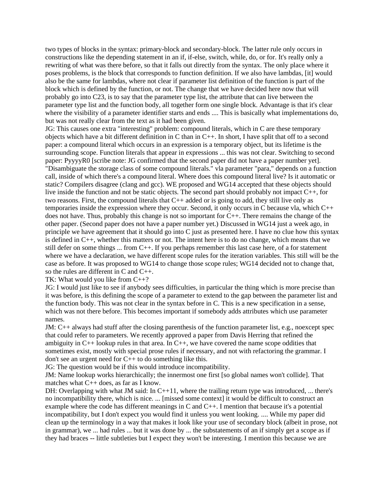two types of blocks in the syntax: primary-block and secondary-block. The latter rule only occurs in constructions like the depending statement in an if, if-else, switch, while, do, or for. It's really only a rewriting of what was there before, so that it falls out directly from the syntax. The only place where it poses problems, is the block that corresponds to function definition. If we also have lambdas, [it] would also be the same for lambdas, where not clear if parameter list definition of the function is part of the block which is defined by the function, or not. The change that we have decided here now that will probably go into C23, is to say that the parameter type list, the attribute that can live between the parameter type list and the function body, all together form one single block. Advantage is that it's clear where the visibility of a parameter identifier starts and ends .... This is basically what implementations do, but was not really clear from the text as it had been given.

JG: This causes one extra "interesting" problem: compound literals, which in C are these temporary objects which have a bit different definition in C than in  $C_{++}$ . In short, I have split that off to a second paper: a compound literal which occurs in an expression is a temporary object, but its lifetime is the surrounding scope. Function literals that appear in expressions ... this was not clear. Switching to second paper: PyyyyR0 [scribe note: JG confirmed that the second paper did not have a paper number yet]. "Disambiguate the storage class of some compound literals." vla parameter "para," depends on a function call, inside of which there's a compound literal. Where does this compound literal live? Is it automatic or static? Compilers disagree (clang and gcc). WE proposed and WG14 accepted that these objects should live inside the function and not be static objects. The second part should probably not impact C++, for two reasons. First, the compound literals that C++ added or is going to add, they still live only as temporaries inside the expression where they occur. Second, it only occurs in C because vla, which C++ does not have. Thus, probably this change is not so important for  $C_{++}$ . There remains the change of the other paper. (Second paper does not have a paper number yet.) Discussed in WG14 just a week ago, in principle we have agreement that it should go into C just as presented here. I have no clue how this syntax is defined in  $C_{++}$ , whether this matters or not. The intent here is to do no change, which means that we still defer on some things ... from C++. If you perhaps remember this last case here, of a for statement where we have a declaration, we have different scope rules for the iteration variables. This still will be the case as before. It was proposed to WG14 to change those scope rules; WG14 decided not to change that, so the rules are different in C and C++.

TK: What would you like from C++?

JG: I would just like to see if anybody sees difficulties, in particular the thing which is more precise than it was before, is this defining the scope of a parameter to extend to the gap between the parameter list and the function body. This was not clear in the syntax before in C. This is a new specification in a sense, which was not there before. This becomes important if somebody adds attributes which use parameter names.

JM: C++ always had stuff after the closing parenthesis of the function parameter list, e.g., noexcept spec that could refer to parameters. We recently approved a paper from Davis Herring that refined the ambiguity in  $C_{++}$  lookup rules in that area. In  $C_{++}$ , we have covered the name scope oddities that sometimes exist, mostly with special prose rules if necessary, and not with refactoring the grammar. I don't see an urgent need for C++ to do something like this.

JG: The question would be if this would introduce incompatibility.

JM: Name lookup works hierarchically; the innermost one first [so global names won't collide]. That matches what C++ does, as far as I know.

DH: Overlapping with what JM said: In C++11, where the trailing return type was introduced, ... there's no incompatibility there, which is nice. ... [missed some context] it would be difficult to construct an example where the code has different meanings in C and C++. I mention that because it's a potential incompatibility, but I don't expect you would find it unless you went looking. .... While my paper did clean up the terminology in a way that makes it look like your use of secondary block (albeit in prose, not in grammar), we ... had rules ... but it was done by ... the substatements of an if simply get a scope as if they had braces -- little subtleties but I expect they won't be interesting. I mention this because we are